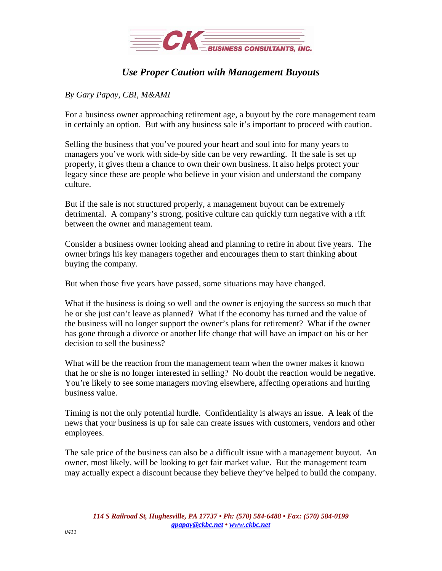

## *Use Proper Caution with Management Buyouts*

*By Gary Papay, CBI, M&AMI* 

For a business owner approaching retirement age, a buyout by the core management team in certainly an option. But with any business sale it's important to proceed with caution.

Selling the business that you've poured your heart and soul into for many years to managers you've work with side-by side can be very rewarding. If the sale is set up properly, it gives them a chance to own their own business. It also helps protect your legacy since these are people who believe in your vision and understand the company culture.

But if the sale is not structured properly, a management buyout can be extremely detrimental. A company's strong, positive culture can quickly turn negative with a rift between the owner and management team.

Consider a business owner looking ahead and planning to retire in about five years. The owner brings his key managers together and encourages them to start thinking about buying the company.

But when those five years have passed, some situations may have changed.

What if the business is doing so well and the owner is enjoying the success so much that he or she just can't leave as planned? What if the economy has turned and the value of the business will no longer support the owner's plans for retirement? What if the owner has gone through a divorce or another life change that will have an impact on his or her decision to sell the business?

What will be the reaction from the management team when the owner makes it known that he or she is no longer interested in selling? No doubt the reaction would be negative. You're likely to see some managers moving elsewhere, affecting operations and hurting business value.

Timing is not the only potential hurdle. Confidentiality is always an issue. A leak of the news that your business is up for sale can create issues with customers, vendors and other employees.

The sale price of the business can also be a difficult issue with a management buyout. An owner, most likely, will be looking to get fair market value. But the management team may actually expect a discount because they believe they've helped to build the company.